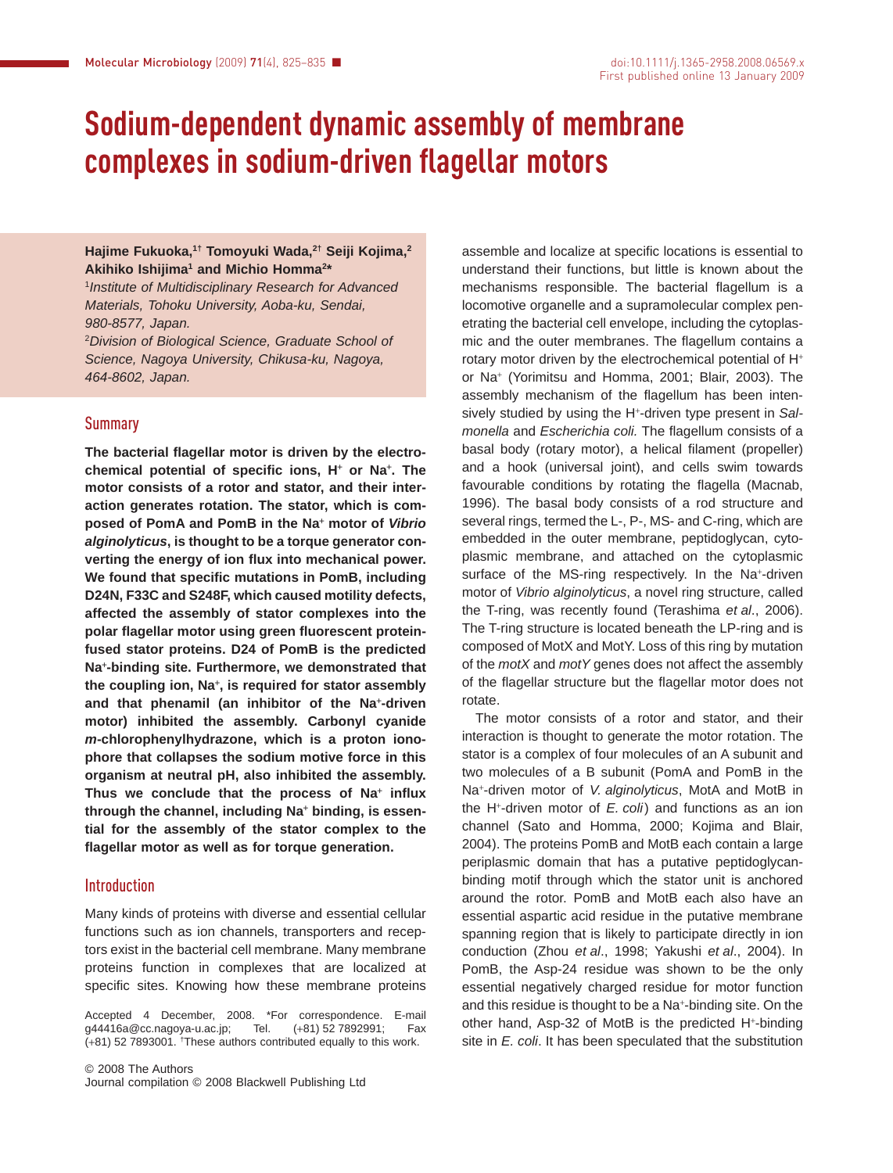# **Sodium-dependent dynamic assembly of membrane complexes in sodium-driven flagellar motors**

# **Hajime Fukuoka,1† Tomoyuki Wada,2† Seiji Kojima,2 Akihiko Ishijima1 and Michio Homma2 \***

1 *Institute of Multidisciplinary Research for Advanced Materials, Tohoku University, Aoba-ku, Sendai, 980-8577, Japan.*

2 *Division of Biological Science, Graduate School of Science, Nagoya University, Chikusa-ku, Nagoya, 464-8602, Japan.*

## **Summary**

**The bacterial flagellar motor is driven by the electrochemical potential of specific ions, H**<sup>+</sup> **or Na**<sup>+</sup> **. The motor consists of a rotor and stator, and their interaction generates rotation. The stator, which is composed of PomA and PomB in the Na**<sup>+</sup> **motor of** *Vibrio alginolyticus***, is thought to be a torque generator converting the energy of ion flux into mechanical power. We found that specific mutations in PomB, including D24N, F33C and S248F, which caused motility defects, affected the assembly of stator complexes into the polar flagellar motor using green fluorescent proteinfused stator proteins. D24 of PomB is the predicted Na**<sup>+</sup> **-binding site. Furthermore, we demonstrated that the coupling ion, Na**<sup>+</sup> **, is required for stator assembly and that phenamil (an inhibitor of the Na**<sup>+</sup> **-driven motor) inhibited the assembly. Carbonyl cyanide** *m***-chlorophenylhydrazone, which is a proton ionophore that collapses the sodium motive force in this organism at neutral pH, also inhibited the assembly. Thus we conclude that the process of Na**<sup>+</sup> **influx through the channel, including Na**<sup>+</sup> **binding, is essential for the assembly of the stator complex to the flagellar motor as well as for torque generation.**

#### **Introduction**

Many kinds of proteins with diverse and essential cellular functions such as ion channels, transporters and receptors exist in the bacterial cell membrane. Many membrane proteins function in complexes that are localized at specific sites. Knowing how these membrane proteins

Accepted 4 December, 2008. \*For correspondence. E-mail g44416a@cc.nagoya-u.ac.jp; Tel.  $(+81)$  52 7892991; Fax [g44416a@cc.nagoya-u.ac.jp;](mailto:g44416a@cc.nagoya-u.ac.jp) Tel. (+81) 52 7892991; Fax (+81) 52 7893001. † These authors contributed equally to this work.

assemble and localize at specific locations is essential to understand their functions, but little is known about the mechanisms responsible. The bacterial flagellum is a locomotive organelle and a supramolecular complex penetrating the bacterial cell envelope, including the cytoplasmic and the outer membranes. The flagellum contains a rotary motor driven by the electrochemical potential of H<sup>+</sup> or Na<sup>+</sup> (Yorimitsu and Homma, 2001; Blair, 2003). The assembly mechanism of the flagellum has been intensively studied by using the H<sup>+</sup>-driven type present in Sal*monella* and *Escherichia coli.* The flagellum consists of a basal body (rotary motor), a helical filament (propeller) and a hook (universal joint), and cells swim towards favourable conditions by rotating the flagella (Macnab, 1996). The basal body consists of a rod structure and several rings, termed the L-, P-, MS- and C-ring, which are embedded in the outer membrane, peptidoglycan, cytoplasmic membrane, and attached on the cytoplasmic surface of the MS-ring respectively. In the Na<sup>+</sup>-driven motor of *Vibrio alginolyticus*, a novel ring structure, called the T-ring, was recently found (Terashima *et al*., 2006). The T-ring structure is located beneath the LP-ring and is composed of MotX and MotY. Loss of this ring by mutation of the *motX* and *motY* genes does not affect the assembly of the flagellar structure but the flagellar motor does not rotate.

The motor consists of a rotor and stator, and their interaction is thought to generate the motor rotation. The stator is a complex of four molecules of an A subunit and two molecules of a B subunit (PomA and PomB in the Na<sup>+</sup> -driven motor of *V. alginolyticus*, MotA and MotB in the H<sup>+</sup> -driven motor of *E. coli*) and functions as an ion channel (Sato and Homma, 2000; Kojima and Blair, 2004). The proteins PomB and MotB each contain a large periplasmic domain that has a putative peptidoglycanbinding motif through which the stator unit is anchored around the rotor. PomB and MotB each also have an essential aspartic acid residue in the putative membrane spanning region that is likely to participate directly in ion conduction (Zhou *et al*., 1998; Yakushi *et al*., 2004). In PomB, the Asp-24 residue was shown to be the only essential negatively charged residue for motor function and this residue is thought to be a Na<sup>+</sup>-binding site. On the other hand, Asp-32 of MotB is the predicted H<sup>+</sup>-binding site in *E. coli*. It has been speculated that the substitution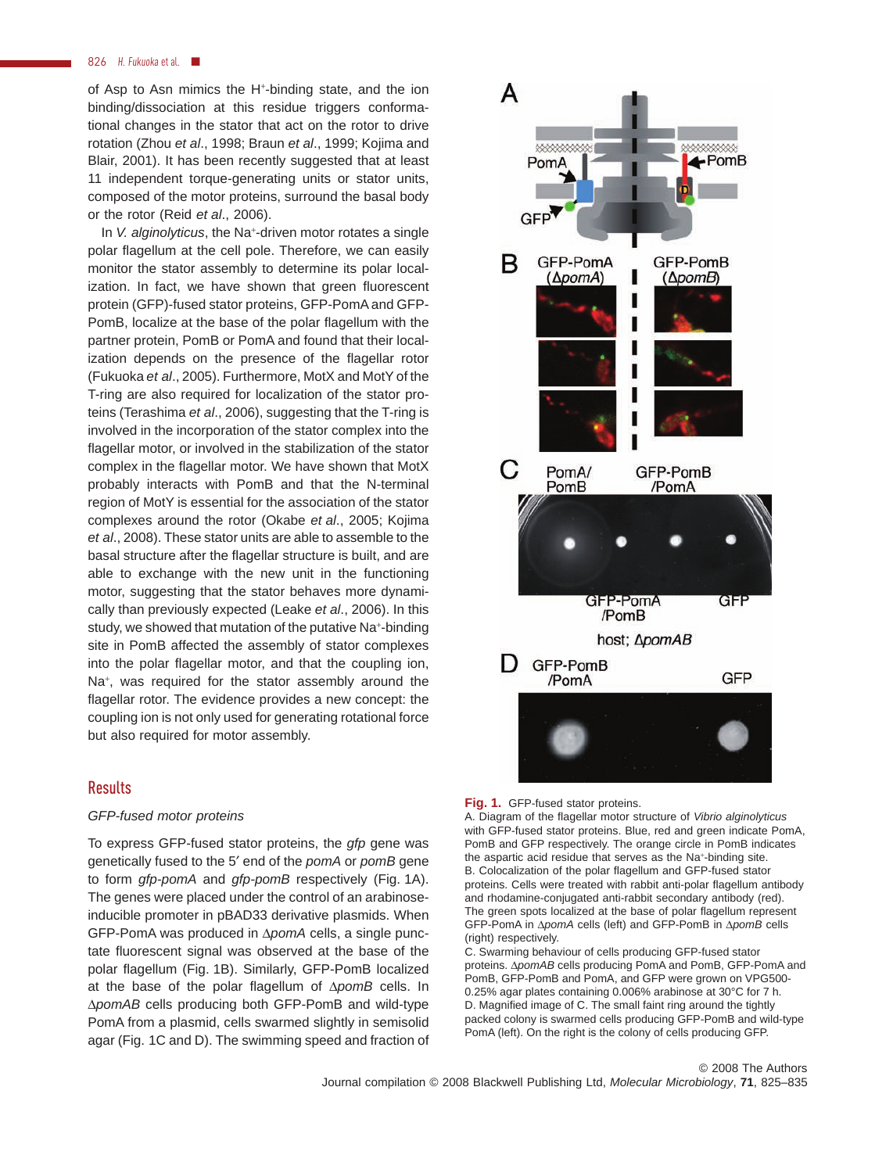#### 826 H. Fukuoka et al. ∎

of Asp to Asn mimics the H<sup>+</sup> -binding state, and the ion binding/dissociation at this residue triggers conformational changes in the stator that act on the rotor to drive rotation (Zhou *et al*., 1998; Braun *et al*., 1999; Kojima and Blair, 2001). It has been recently suggested that at least 11 independent torque-generating units or stator units, composed of the motor proteins, surround the basal body or the rotor (Reid *et al*., 2006).

In V. alginolyticus, the Na<sup>+</sup>-driven motor rotates a single polar flagellum at the cell pole. Therefore, we can easily monitor the stator assembly to determine its polar localization. In fact, we have shown that green fluorescent protein (GFP)-fused stator proteins, GFP-PomA and GFP-PomB, localize at the base of the polar flagellum with the partner protein, PomB or PomA and found that their localization depends on the presence of the flagellar rotor (Fukuoka *et al*., 2005). Furthermore, MotX and MotY of the T-ring are also required for localization of the stator proteins (Terashima *et al*., 2006), suggesting that the T-ring is involved in the incorporation of the stator complex into the flagellar motor, or involved in the stabilization of the stator complex in the flagellar motor. We have shown that MotX probably interacts with PomB and that the N-terminal region of MotY is essential for the association of the stator complexes around the rotor (Okabe *et al*., 2005; Kojima *et al*., 2008). These stator units are able to assemble to the basal structure after the flagellar structure is built, and are able to exchange with the new unit in the functioning motor, suggesting that the stator behaves more dynamically than previously expected (Leake *et al*., 2006). In this study, we showed that mutation of the putative Na<sup>+</sup> -binding site in PomB affected the assembly of stator complexes into the polar flagellar motor, and that the coupling ion, Na<sup>+</sup> , was required for the stator assembly around the flagellar rotor. The evidence provides a new concept: the coupling ion is not only used for generating rotational force but also required for motor assembly.

#### **Results**

#### *GFP-fused motor proteins*

To express GFP-fused stator proteins, the *gfp* gene was genetically fused to the 5′ end of the *pomA* or *pomB* gene to form *gfp-pomA* and *gfp-pomB* respectively (Fig. 1A). The genes were placed under the control of an arabinoseinducible promoter in pBAD33 derivative plasmids. When GFP-PomA was produced in  $\Delta$ *pomA* cells, a single punctate fluorescent signal was observed at the base of the polar flagellum (Fig. 1B). Similarly, GFP-PomB localized at the base of the polar flagellum of  $\triangle p o m B$  cells. In  $\Delta$ *pomAB* cells producing both GFP-PomB and wild-type PomA from a plasmid, cells swarmed slightly in semisolid agar (Fig. 1C and D). The swimming speed and fraction of



#### **Fig. 1.** GFP-fused stator proteins.

A. Diagram of the flagellar motor structure of *Vibrio alginolyticus* with GFP-fused stator proteins. Blue, red and green indicate PomA, PomB and GFP respectively. The orange circle in PomB indicates the aspartic acid residue that serves as the Na<sup>+</sup>-binding site. B. Colocalization of the polar flagellum and GFP-fused stator proteins. Cells were treated with rabbit anti-polar flagellum antibody and rhodamine-conjugated anti-rabbit secondary antibody (red). The green spots localized at the base of polar flagellum represent GFP-PomA in Δ*pomA* cells (left) and GFP-PomB in Δ*pomB* cells (right) respectively.

C. Swarming behaviour of cells producing GFP-fused stator proteins. Δ*pomAB* cells producing PomA and PomB, GFP-PomA and PomB, GFP-PomB and PomA, and GFP were grown on VPG500- 0.25% agar plates containing 0.006% arabinose at 30°C for 7 h. D. Magnified image of C. The small faint ring around the tightly packed colony is swarmed cells producing GFP-PomB and wild-type PomA (left). On the right is the colony of cells producing GFP.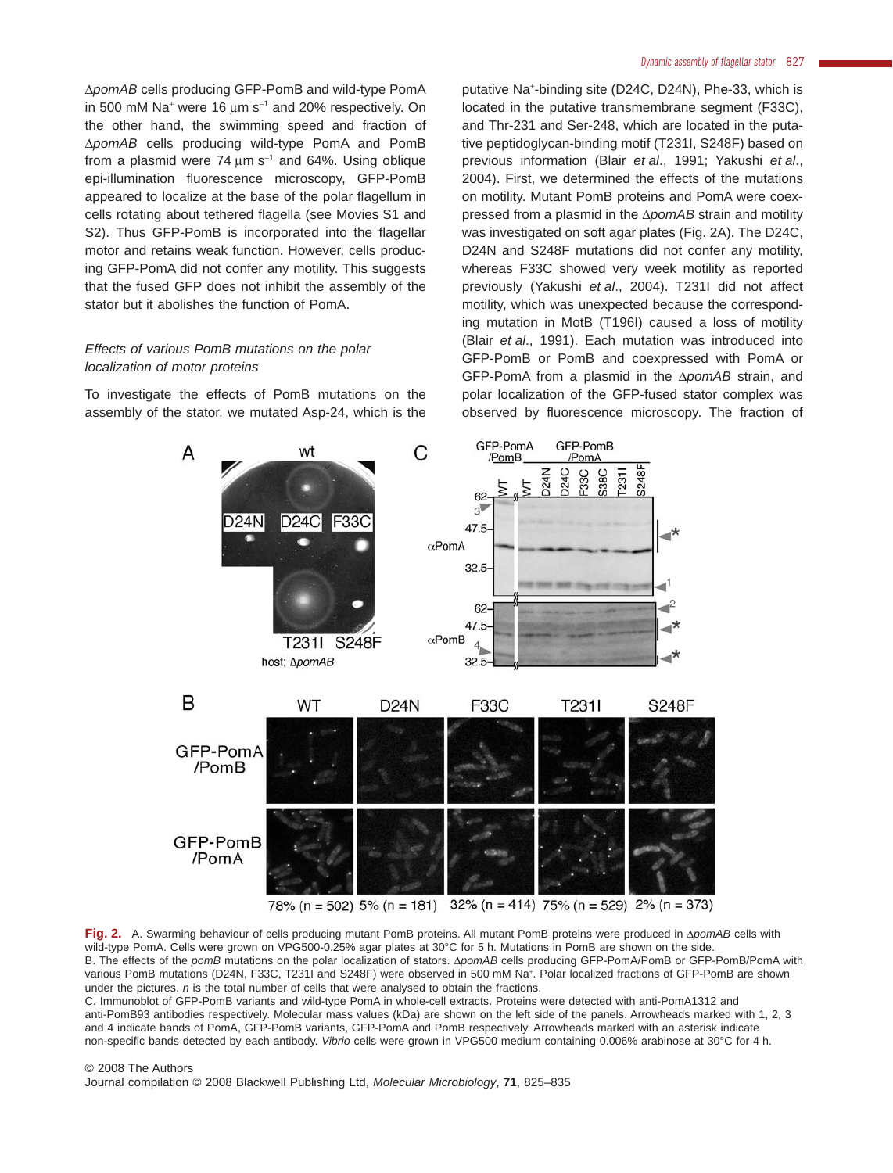Δ*pomAB* cells producing GFP-PomB and wild-type PomA in 500 mM Na<sup>+</sup> were 16  $\mu$ m s<sup>-1</sup> and 20% respectively. On the other hand, the swimming speed and fraction of ΔpomAB cells producing wild-type PomA and PomB from a plasmid were  $74 \mu m s^{-1}$  and 64%. Using oblique epi-illumination fluorescence microscopy, GFP-PomB appeared to localize at the base of the polar flagellum in cells rotating about tethered flagella (see Movies S1 and S2). Thus GFP-PomB is incorporated into the flagellar motor and retains weak function. However, cells producing GFP-PomA did not confer any motility. This suggests that the fused GFP does not inhibit the assembly of the stator but it abolishes the function of PomA.

## *Effects of various PomB mutations on the polar localization of motor proteins*

To investigate the effects of PomB mutations on the assembly of the stator, we mutated Asp-24, which is the

putative Na<sup>+</sup> -binding site (D24C, D24N), Phe-33, which is located in the putative transmembrane segment (F33C), and Thr-231 and Ser-248, which are located in the putative peptidoglycan-binding motif (T231I, S248F) based on previous information (Blair *et al*., 1991; Yakushi *et al*., 2004). First, we determined the effects of the mutations on motility. Mutant PomB proteins and PomA were coexpressed from a plasmid in the D*pomAB* strain and motility was investigated on soft agar plates (Fig. 2A). The D24C, D<sub>24</sub>N and S<sub>248</sub>F mutations did not confer any motility. whereas F33C showed very week motility as reported previously (Yakushi *et al*., 2004). T231I did not affect motility, which was unexpected because the corresponding mutation in MotB (T196I) caused a loss of motility (Blair *et al*., 1991). Each mutation was introduced into GFP-PomB or PomB and coexpressed with PomA or GFP-PomA from a plasmid in the D*pomAB* strain, and polar localization of the GFP-fused stator complex was observed by fluorescence microscopy. The fraction of



Fig. 2. A. Swarming behaviour of cells producing mutant PomB proteins. All mutant PomB proteins were produced in  $\Delta$ *pomAB* cells with wild-type PomA. Cells were grown on VPG500-0.25% agar plates at 30°C for 5 h. Mutations in PomB are shown on the side. B. The effects of the *pomB* mutations on the polar localization of stators.  $\Delta p$ omAB cells producing GFP-PomA/PomB or GFP-PomB/PomA with various PomB mutations (D24N, F33C, T231I and S248F) were observed in 500 mM Na<sup>+</sup> . Polar localized fractions of GFP-PomB are shown under the pictures. *n* is the total number of cells that were analysed to obtain the fractions.

C. Immunoblot of GFP-PomB variants and wild-type PomA in whole-cell extracts. Proteins were detected with anti-PomA1312 and anti-PomB93 antibodies respectively. Molecular mass values (kDa) are shown on the left side of the panels. Arrowheads marked with 1, 2, 3 and 4 indicate bands of PomA, GFP-PomB variants, GFP-PomA and PomB respectively. Arrowheads marked with an asterisk indicate non-specific bands detected by each antibody. *Vibrio* cells were grown in VPG500 medium containing 0.006% arabinose at 30°C for 4 h.

© 2008 The Authors Journal compilation © 2008 Blackwell Publishing Ltd, *Molecular Microbiology*, **71**, 825–835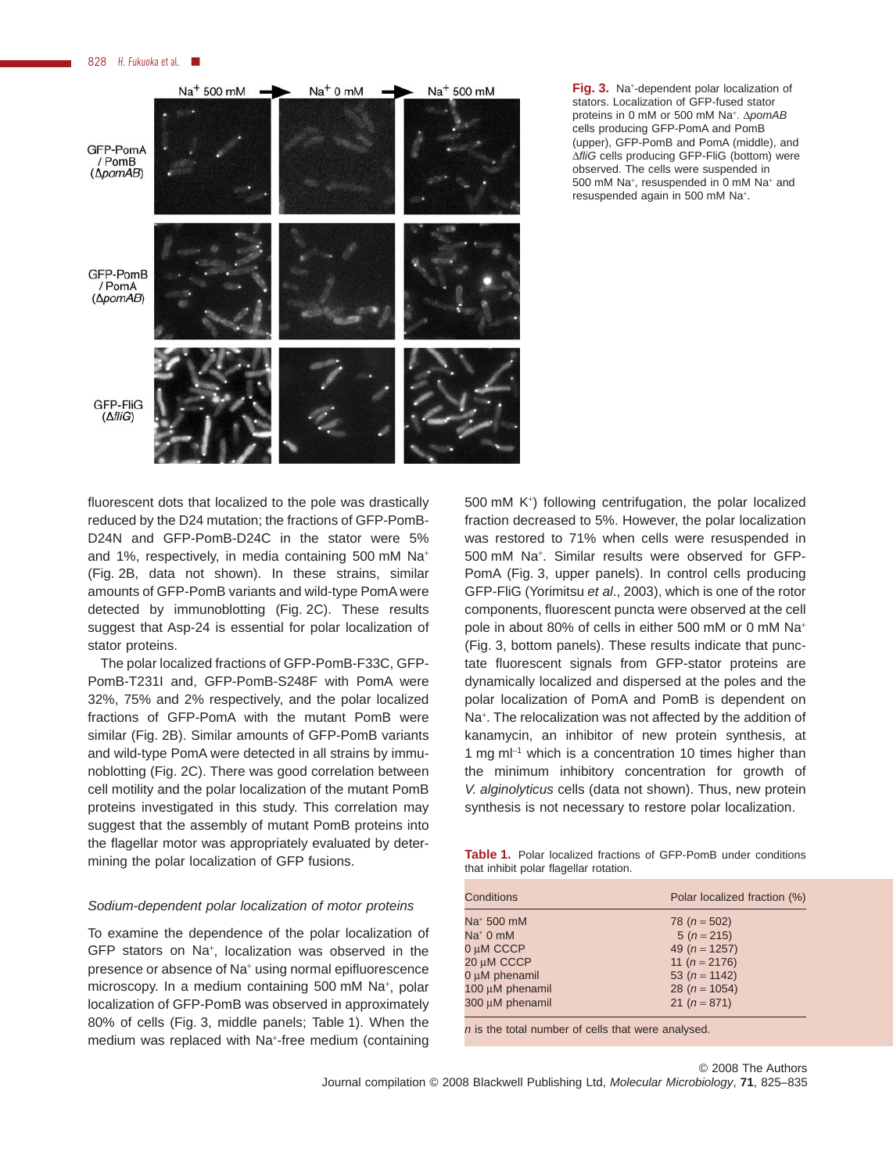



fluorescent dots that localized to the pole was drastically reduced by the D24 mutation; the fractions of GFP-PomB-D24N and GFP-PomB-D24C in the stator were 5% and 1%, respectively, in media containing 500 mM Na<sup>+</sup> (Fig. 2B, data not shown). In these strains, similar amounts of GFP-PomB variants and wild-type PomA were detected by immunoblotting (Fig. 2C). These results suggest that Asp-24 is essential for polar localization of stator proteins.

The polar localized fractions of GFP-PomB-F33C, GFP-PomB-T231I and, GFP-PomB-S248F with PomA were 32%, 75% and 2% respectively, and the polar localized fractions of GFP-PomA with the mutant PomB were similar (Fig. 2B). Similar amounts of GFP-PomB variants and wild-type PomA were detected in all strains by immunoblotting (Fig. 2C). There was good correlation between cell motility and the polar localization of the mutant PomB proteins investigated in this study. This correlation may suggest that the assembly of mutant PomB proteins into the flagellar motor was appropriately evaluated by determining the polar localization of GFP fusions.

#### *Sodium-dependent polar localization of motor proteins*

To examine the dependence of the polar localization of GFP stators on Na<sup>+</sup> , localization was observed in the presence or absence of Na<sup>+</sup> using normal epifluorescence microscopy. In a medium containing 500 mM Na<sup>+</sup>, polar localization of GFP-PomB was observed in approximately 80% of cells (Fig. 3, middle panels; Table 1). When the medium was replaced with Na<sup>+</sup>-free medium (containing

500 mM K<sup>+</sup> ) following centrifugation, the polar localized fraction decreased to 5%. However, the polar localization was restored to 71% when cells were resuspended in 500 mM Na<sup>+</sup> . Similar results were observed for GFP-PomA (Fig. 3, upper panels). In control cells producing GFP-FliG (Yorimitsu *et al*., 2003), which is one of the rotor components, fluorescent puncta were observed at the cell pole in about 80% of cells in either 500 mM or 0 mM Na<sup>+</sup> (Fig. 3, bottom panels). These results indicate that punctate fluorescent signals from GFP-stator proteins are dynamically localized and dispersed at the poles and the polar localization of PomA and PomB is dependent on Na<sup>+</sup> . The relocalization was not affected by the addition of kanamycin, an inhibitor of new protein synthesis, at 1 mg m $l^{-1}$  which is a concentration 10 times higher than the minimum inhibitory concentration for growth of *V. alginolyticus* cells (data not shown). Thus, new protein synthesis is not necessary to restore polar localization.

**Table 1.** Polar localized fractions of GFP-PomB under conditions that inhibit polar flagellar rotation.

| Conditions             | Polar localized fraction (%) |
|------------------------|------------------------------|
| Na <sup>+</sup> 500 mM | 78 $(n = 502)$               |
| $Na+$ 0 mM             | $5(n=215)$                   |
| 0 µM CCCP              | 49 ( $n = 1257$ )            |
| 20 µM CCCP             | 11 $(n = 2176)$              |
| 0 µM phenamil          | 53 $(n = 1142)$              |
| 100 µM phenamil        | 28 ( $n = 1054$ )            |
| 300 µM phenamil        | 21 $(n = 871)$               |
|                        |                              |

*n* is the total number of cells that were analysed.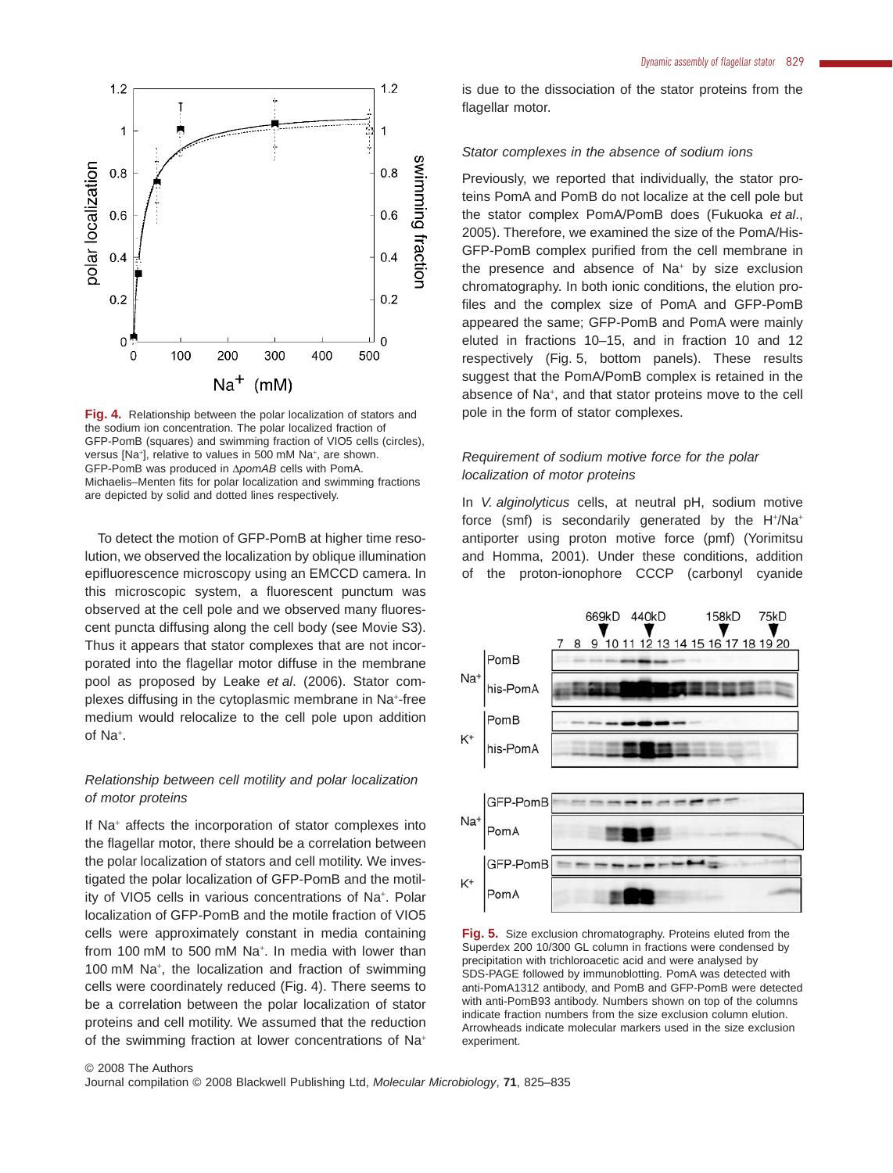

**Fig. 4.** Relationship between the polar localization of stators and the sodium ion concentration. The polar localized fraction of GFP-PomB (squares) and swimming fraction of VIO5 cells (circles), versus [Na<sup>+</sup>], relative to values in 500 mM Na<sup>+</sup>, are shown. GFP-PomB was produced in  $\Delta$ *pomAB* cells with PomA. Michaelis–Menten fits for polar localization and swimming fractions are depicted by solid and dotted lines respectively.

To detect the motion of GFP-PomB at higher time resolution, we observed the localization by oblique illumination epifluorescence microscopy using an EMCCD camera. In this microscopic system, a fluorescent punctum was observed at the cell pole and we observed many fluorescent puncta diffusing along the cell body (see Movie S3). Thus it appears that stator complexes that are not incorporated into the flagellar motor diffuse in the membrane pool as proposed by Leake *et al*. (2006). Stator complexes diffusing in the cytoplasmic membrane in Na<sup>+</sup> -free medium would relocalize to the cell pole upon addition of Na<sup>+</sup> .

# *Relationship between cell motility and polar localization of motor proteins*

If Na<sup>+</sup> affects the incorporation of stator complexes into the flagellar motor, there should be a correlation between the polar localization of stators and cell motility. We investigated the polar localization of GFP-PomB and the motility of VIO5 cells in various concentrations of Na<sup>+</sup> . Polar localization of GFP-PomB and the motile fraction of VIO5 cells were approximately constant in media containing from 100 mM to 500 mM Na<sup>+</sup>. In media with lower than 100 mM Na<sup>+</sup> , the localization and fraction of swimming cells were coordinately reduced (Fig. 4). There seems to be a correlation between the polar localization of stator proteins and cell motility. We assumed that the reduction of the swimming fraction at lower concentrations of Na<sup>+</sup> is due to the dissociation of the stator proteins from the flagellar motor.

#### *Stator complexes in the absence of sodium ions*

Previously, we reported that individually, the stator proteins PomA and PomB do not localize at the cell pole but the stator complex PomA/PomB does (Fukuoka *et al*., 2005). Therefore, we examined the size of the PomA/His-GFP-PomB complex purified from the cell membrane in the presence and absence of  $Na<sup>+</sup>$  by size exclusion chromatography. In both ionic conditions, the elution profiles and the complex size of PomA and GFP-PomB appeared the same; GFP-PomB and PomA were mainly eluted in fractions 10–15, and in fraction 10 and 12 respectively (Fig. 5, bottom panels). These results suggest that the PomA/PomB complex is retained in the absence of Na<sup>+</sup> , and that stator proteins move to the cell pole in the form of stator complexes.

## *Requirement of sodium motive force for the polar localization of motor proteins*

In *V. alginolyticus* cells, at neutral pH, sodium motive force (smf) is secondarily generated by the H<sup>+</sup>/Na<sup>+</sup> antiporter using proton motive force (pmf) (Yorimitsu and Homma, 2001). Under these conditions, addition of the proton-ionophore CCCP (carbonyl cyanide



**Fig. 5.** Size exclusion chromatography. Proteins eluted from the Superdex 200 10/300 GL column in fractions were condensed by precipitation with trichloroacetic acid and were analysed by SDS-PAGE followed by immunoblotting. PomA was detected with anti-PomA1312 antibody, and PomB and GFP-PomB were detected with anti-PomB93 antibody. Numbers shown on top of the columns indicate fraction numbers from the size exclusion column elution. Arrowheads indicate molecular markers used in the size exclusion experiment.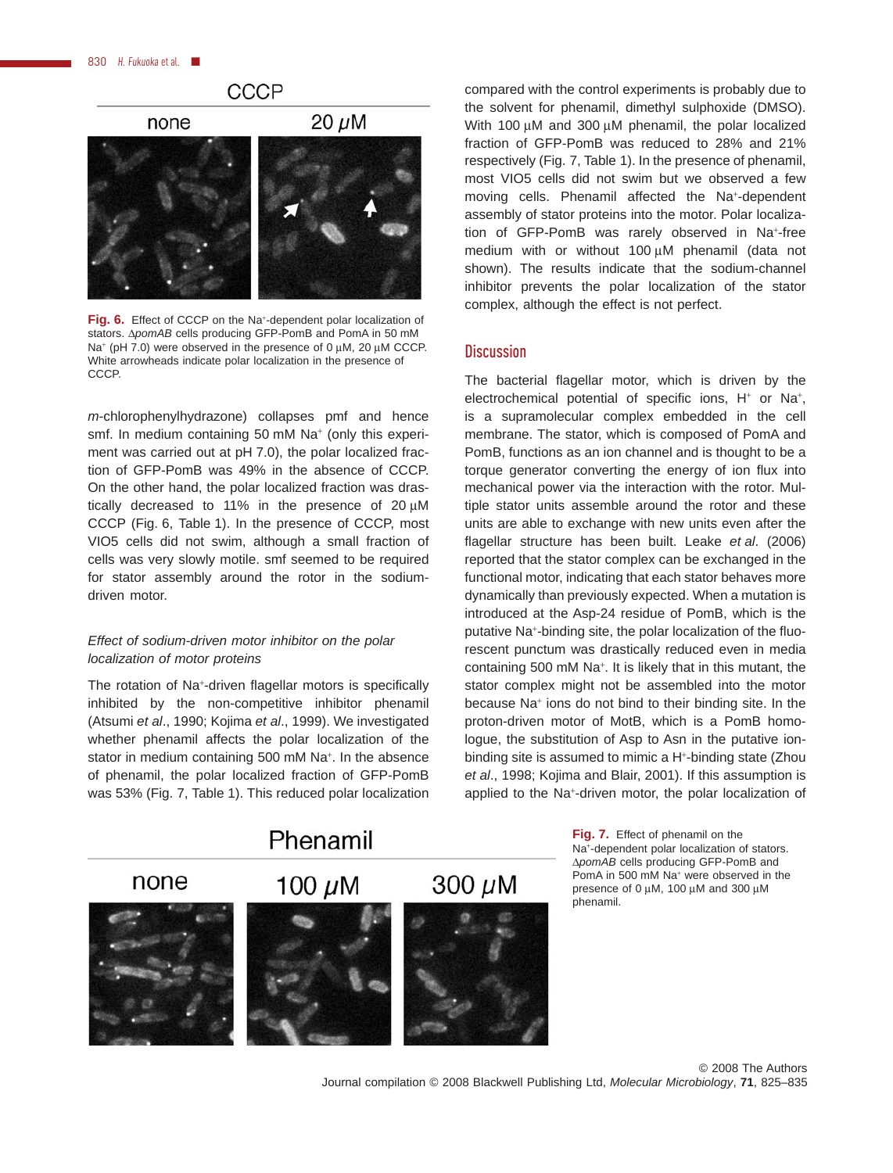

Fig. 6. Effect of CCCP on the Na<sup>+</sup>-dependent polar localization of stators. **ApomAB** cells producing GFP-PomB and PomA in 50 mM Na<sup>+</sup> (pH 7.0) were observed in the presence of 0  $\mu$ M, 20  $\mu$ M CCCP. White arrowheads indicate polar localization in the presence of CCCP.

*m*-chlorophenylhydrazone) collapses pmf and hence smf. In medium containing 50 mM Na<sup>+</sup> (only this experiment was carried out at pH 7.0), the polar localized fraction of GFP-PomB was 49% in the absence of CCCP. On the other hand, the polar localized fraction was drastically decreased to 11% in the presence of  $20 \mu M$ CCCP (Fig. 6, Table 1). In the presence of CCCP, most VIO5 cells did not swim, although a small fraction of cells was very slowly motile. smf seemed to be required for stator assembly around the rotor in the sodiumdriven motor.

## *Effect of sodium-driven motor inhibitor on the polar localization of motor proteins*

The rotation of Na<sup>+</sup>-driven flagellar motors is specifically inhibited by the non-competitive inhibitor phenamil (Atsumi *et al*., 1990; Kojima *et al*., 1999). We investigated whether phenamil affects the polar localization of the stator in medium containing 500 mM Na<sup>+</sup>. In the absence of phenamil, the polar localized fraction of GFP-PomB was 53% (Fig. 7, Table 1). This reduced polar localization compared with the control experiments is probably due to the solvent for phenamil, dimethyl sulphoxide (DMSO). With 100  $\mu$ M and 300  $\mu$ M phenamil, the polar localized fraction of GFP-PomB was reduced to 28% and 21% respectively (Fig. 7, Table 1). In the presence of phenamil, most VIO5 cells did not swim but we observed a few moving cells. Phenamil affected the Na<sup>+</sup>-dependent assembly of stator proteins into the motor. Polar localization of GFP-PomB was rarely observed in Na<sup>+</sup>-free medium with or without 100 uM phenamil (data not shown). The results indicate that the sodium-channel inhibitor prevents the polar localization of the stator complex, although the effect is not perfect.

# **Discussion**

The bacterial flagellar motor, which is driven by the electrochemical potential of specific ions,  $H^+$  or Na<sup>+</sup>, is a supramolecular complex embedded in the cell membrane. The stator, which is composed of PomA and PomB, functions as an ion channel and is thought to be a torque generator converting the energy of ion flux into mechanical power via the interaction with the rotor. Multiple stator units assemble around the rotor and these units are able to exchange with new units even after the flagellar structure has been built. Leake *et al*. (2006) reported that the stator complex can be exchanged in the functional motor, indicating that each stator behaves more dynamically than previously expected. When a mutation is introduced at the Asp-24 residue of PomB, which is the putative Na<sup>+</sup> -binding site, the polar localization of the fluorescent punctum was drastically reduced even in media containing 500 mM Na<sup>+</sup>. It is likely that in this mutant, the stator complex might not be assembled into the motor because Na<sup>+</sup> ions do not bind to their binding site. In the proton-driven motor of MotB, which is a PomB homologue, the substitution of Asp to Asn in the putative ionbinding site is assumed to mimic a H<sup>+</sup>-binding state (Zhou *et al*., 1998; Kojima and Blair, 2001). If this assumption is applied to the Na<sup>+</sup>-driven motor, the polar localization of



**Fig. 7.** Effect of phenamil on the Na<sup>+</sup>-dependent polar localization of stators. ApomAB cells producing GFP-PomB and PomA in 500 mM Na<sup>+</sup> were observed in the presence of 0  $\mu$ M, 100  $\mu$ M and 300  $\mu$ M phenamil.

© 2008 The Authors Journal compilation © 2008 Blackwell Publishing Ltd, *Molecular Microbiology*, **71**, 825–835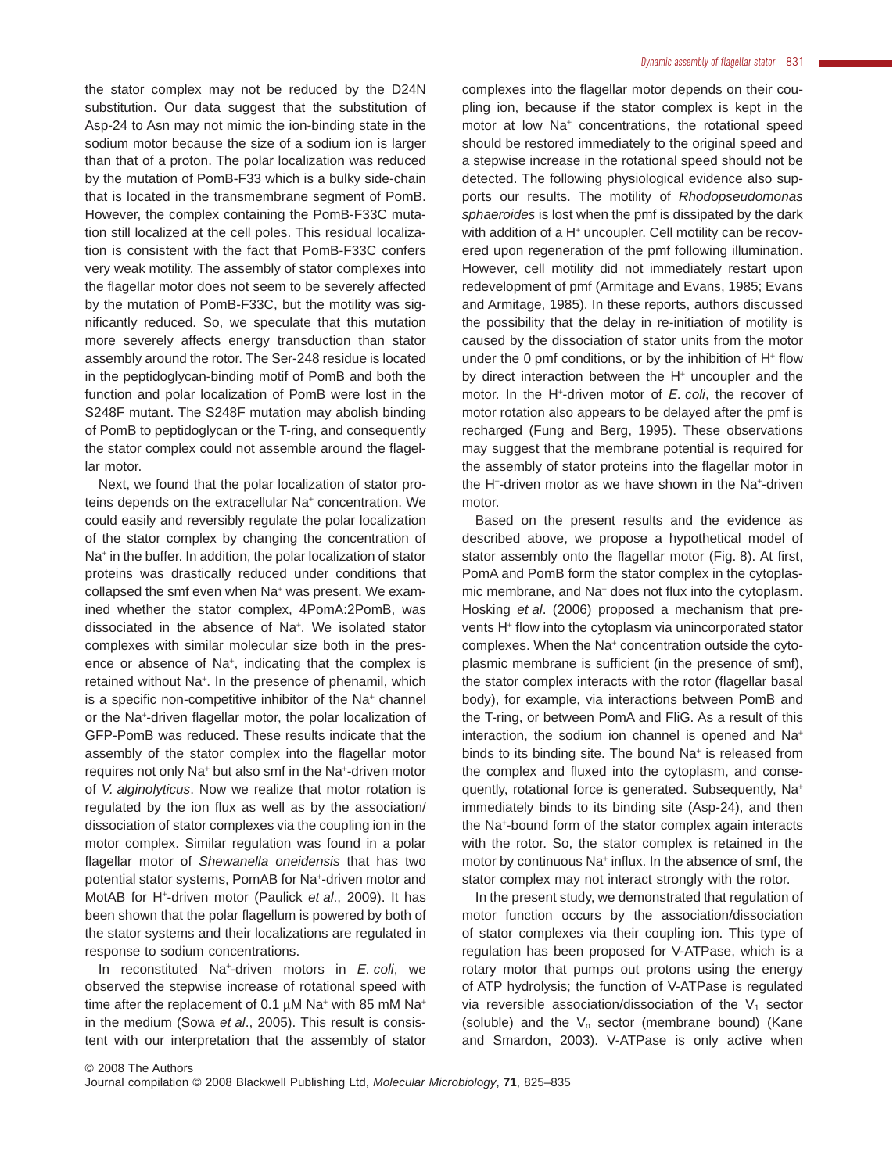the stator complex may not be reduced by the D24N substitution. Our data suggest that the substitution of Asp-24 to Asn may not mimic the ion-binding state in the sodium motor because the size of a sodium ion is larger than that of a proton. The polar localization was reduced by the mutation of PomB-F33 which is a bulky side-chain that is located in the transmembrane segment of PomB. However, the complex containing the PomB-F33C mutation still localized at the cell poles. This residual localization is consistent with the fact that PomB-F33C confers very weak motility. The assembly of stator complexes into the flagellar motor does not seem to be severely affected by the mutation of PomB-F33C, but the motility was significantly reduced. So, we speculate that this mutation more severely affects energy transduction than stator assembly around the rotor. The Ser-248 residue is located in the peptidoglycan-binding motif of PomB and both the function and polar localization of PomB were lost in the S248F mutant. The S248F mutation may abolish binding of PomB to peptidoglycan or the T-ring, and consequently the stator complex could not assemble around the flagellar motor.

Next, we found that the polar localization of stator proteins depends on the extracellular Na<sup>+</sup> concentration. We could easily and reversibly regulate the polar localization of the stator complex by changing the concentration of Na<sup>+</sup> in the buffer. In addition, the polar localization of stator proteins was drastically reduced under conditions that collapsed the smf even when Na<sup>+</sup> was present. We examined whether the stator complex, 4PomA:2PomB, was dissociated in the absence of Na<sup>+</sup> . We isolated stator complexes with similar molecular size both in the presence or absence of Na<sup>+</sup>, indicating that the complex is retained without Na<sup>+</sup> . In the presence of phenamil, which is a specific non-competitive inhibitor of the  $Na<sup>+</sup>$  channel or the Na<sup>+</sup> -driven flagellar motor, the polar localization of GFP-PomB was reduced. These results indicate that the assembly of the stator complex into the flagellar motor requires not only Na<sup>+</sup> but also smf in the Na<sup>+</sup>-driven motor of *V. alginolyticus*. Now we realize that motor rotation is regulated by the ion flux as well as by the association/ dissociation of stator complexes via the coupling ion in the motor complex. Similar regulation was found in a polar flagellar motor of *Shewanella oneidensis* that has two potential stator systems, PomAB for Na<sup>+</sup>-driven motor and MotAB for H<sup>+</sup> -driven motor (Paulick *et al*., 2009). It has been shown that the polar flagellum is powered by both of the stator systems and their localizations are regulated in response to sodium concentrations.

In reconstituted Na<sup>+</sup> -driven motors in *E. coli*, we observed the stepwise increase of rotational speed with time after the replacement of 0.1  $\mu$ M Na<sup>+</sup> with 85 mM Na<sup>+</sup> in the medium (Sowa *et al*., 2005). This result is consistent with our interpretation that the assembly of stator complexes into the flagellar motor depends on their coupling ion, because if the stator complex is kept in the motor at low Na<sup>+</sup> concentrations, the rotational speed should be restored immediately to the original speed and a stepwise increase in the rotational speed should not be detected. The following physiological evidence also supports our results. The motility of *Rhodopseudomonas sphaeroides* is lost when the pmf is dissipated by the dark with addition of a H<sup>+</sup> uncoupler. Cell motility can be recovered upon regeneration of the pmf following illumination. However, cell motility did not immediately restart upon redevelopment of pmf (Armitage and Evans, 1985; Evans and Armitage, 1985). In these reports, authors discussed the possibility that the delay in re-initiation of motility is caused by the dissociation of stator units from the motor under the 0 pmf conditions, or by the inhibition of  $H^+$  flow by direct interaction between the  $H<sup>+</sup>$  uncoupler and the motor. In the H<sup>+</sup> -driven motor of *E. coli*, the recover of motor rotation also appears to be delayed after the pmf is recharged (Fung and Berg, 1995). These observations may suggest that the membrane potential is required for the assembly of stator proteins into the flagellar motor in the H<sup>+</sup>-driven motor as we have shown in the Na<sup>+</sup>-driven motor.

Based on the present results and the evidence as described above, we propose a hypothetical model of stator assembly onto the flagellar motor (Fig. 8). At first, PomA and PomB form the stator complex in the cytoplasmic membrane, and Na<sup>+</sup> does not flux into the cytoplasm. Hosking *et al*. (2006) proposed a mechanism that prevents H<sup>+</sup> flow into the cytoplasm via unincorporated stator complexes. When the Na<sup>+</sup> concentration outside the cytoplasmic membrane is sufficient (in the presence of smf), the stator complex interacts with the rotor (flagellar basal body), for example, via interactions between PomB and the T-ring, or between PomA and FliG. As a result of this interaction, the sodium ion channel is opened and Na<sup>+</sup> binds to its binding site. The bound Na<sup>+</sup> is released from the complex and fluxed into the cytoplasm, and consequently, rotational force is generated. Subsequently, Na<sup>+</sup> immediately binds to its binding site (Asp-24), and then the Na<sup>+</sup> -bound form of the stator complex again interacts with the rotor. So, the stator complex is retained in the motor by continuous Na<sup>+</sup> influx. In the absence of smf, the stator complex may not interact strongly with the rotor.

In the present study, we demonstrated that regulation of motor function occurs by the association/dissociation of stator complexes via their coupling ion. This type of regulation has been proposed for V-ATPase, which is a rotary motor that pumps out protons using the energy of ATP hydrolysis; the function of V-ATPase is regulated via reversible association/dissociation of the  $V_1$  sector (soluble) and the  $V_0$  sector (membrane bound) (Kane and Smardon, 2003). V-ATPase is only active when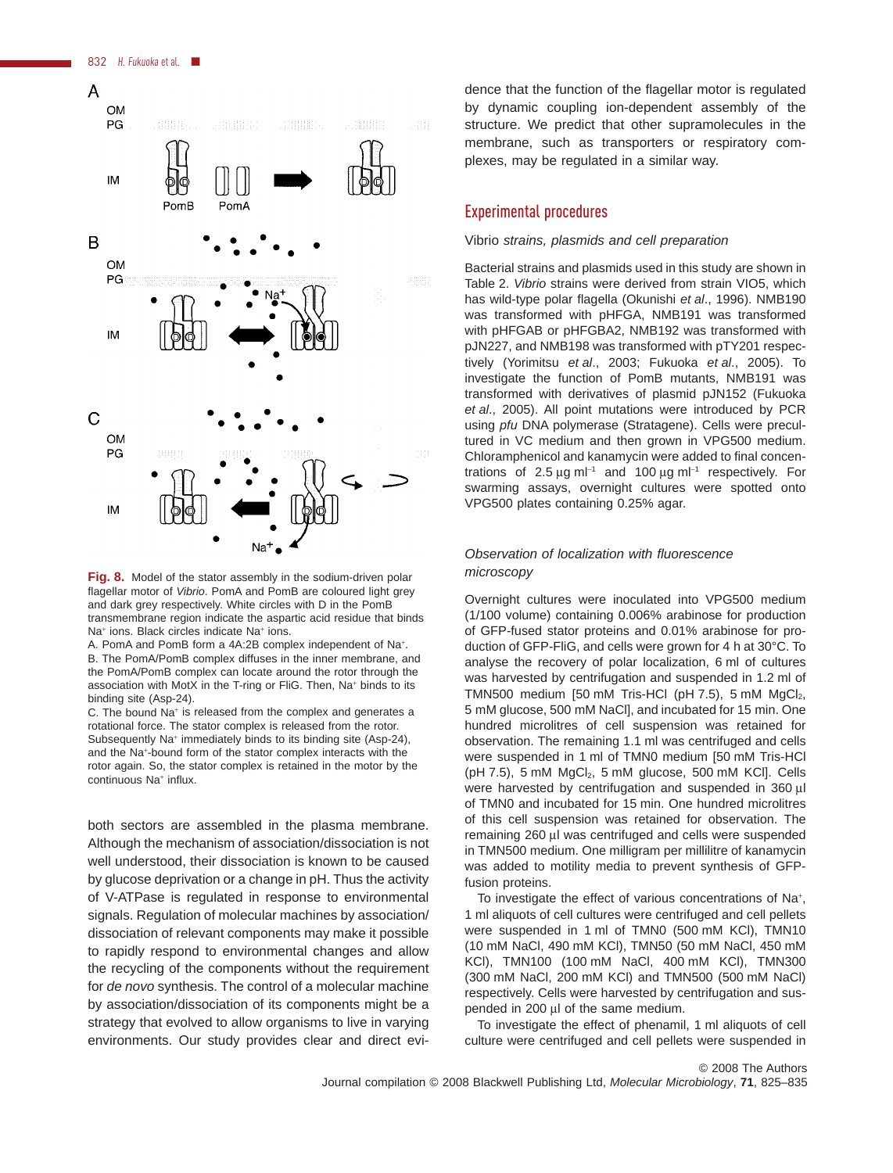

**Fig. 8.** Model of the stator assembly in the sodium-driven polar flagellar motor of *Vibrio*. PomA and PomB are coloured light grey and dark grey respectively. White circles with D in the PomB transmembrane region indicate the aspartic acid residue that binds Na<sup>+</sup> ions. Black circles indicate Na<sup>+</sup> ions.

A. PomA and PomB form a 4A:2B complex independent of Na<sup>+</sup>. B. The PomA/PomB complex diffuses in the inner membrane, and the PomA/PomB complex can locate around the rotor through the association with MotX in the T-ring or FliG. Then, Na<sup>+</sup> binds to its binding site (Asp-24).

C. The bound Na<sup>+</sup> is released from the complex and generates a rotational force. The stator complex is released from the rotor. Subsequently Na<sup>+</sup> immediately binds to its binding site (Asp-24), and the Na<sup>+</sup> -bound form of the stator complex interacts with the rotor again. So, the stator complex is retained in the motor by the continuous Na<sup>+</sup> influx.

both sectors are assembled in the plasma membrane. Although the mechanism of association/dissociation is not well understood, their dissociation is known to be caused by glucose deprivation or a change in pH. Thus the activity of V-ATPase is regulated in response to environmental signals. Regulation of molecular machines by association/ dissociation of relevant components may make it possible to rapidly respond to environmental changes and allow the recycling of the components without the requirement for *de novo* synthesis. The control of a molecular machine by association/dissociation of its components might be a strategy that evolved to allow organisms to live in varying environments. Our study provides clear and direct evidence that the function of the flagellar motor is regulated by dynamic coupling ion-dependent assembly of the structure. We predict that other supramolecules in the membrane, such as transporters or respiratory complexes, may be regulated in a similar way.

# Experimental procedures

#### Vibrio *strains, plasmids and cell preparation*

Bacterial strains and plasmids used in this study are shown in Table 2. *Vibrio* strains were derived from strain VIO5, which has wild-type polar flagella (Okunishi *et al*., 1996). NMB190 was transformed with pHFGA, NMB191 was transformed with pHFGAB or pHFGBA2, NMB192 was transformed with pJN227, and NMB198 was transformed with pTY201 respectively (Yorimitsu *et al*., 2003; Fukuoka *et al*., 2005). To investigate the function of PomB mutants, NMB191 was transformed with derivatives of plasmid pJN152 (Fukuoka *et al*., 2005). All point mutations were introduced by PCR using *pfu* DNA polymerase (Stratagene). Cells were precultured in VC medium and then grown in VPG500 medium. Chloramphenicol and kanamycin were added to final concentrations of  $2.5 \mu g$  m $^{-1}$  and 100  $\mu g$  m $^{-1}$  respectively. For swarming assays, overnight cultures were spotted onto VPG500 plates containing 0.25% agar.

#### *Observation of localization with fluorescence microscopy*

Overnight cultures were inoculated into VPG500 medium (1/100 volume) containing 0.006% arabinose for production of GFP-fused stator proteins and 0.01% arabinose for production of GFP-FliG, and cells were grown for 4 h at 30°C. To analyse the recovery of polar localization, 6 ml of cultures was harvested by centrifugation and suspended in 1.2 ml of TMN500 medium [50 mM Tris-HCl (pH 7.5), 5 mM  $MgCl<sub>2</sub>$ , 5 mM glucose, 500 mM NaCl], and incubated for 15 min. One hundred microlitres of cell suspension was retained for observation. The remaining 1.1 ml was centrifuged and cells were suspended in 1 ml of TMN0 medium [50 mM Tris-HCl ( $pH$  7.5), 5 mM  $MgCl<sub>2</sub>$ , 5 mM glucose, 500 mM KCI]. Cells were harvested by centrifugation and suspended in 360 µl of TMN0 and incubated for 15 min. One hundred microlitres of this cell suspension was retained for observation. The remaining 260 µl was centrifuged and cells were suspended in TMN500 medium. One milligram per millilitre of kanamycin was added to motility media to prevent synthesis of GFPfusion proteins.

To investigate the effect of various concentrations of Na<sup>+</sup>, 1 ml aliquots of cell cultures were centrifuged and cell pellets were suspended in 1 ml of TMN0 (500 mM KCl), TMN10 (10 mM NaCl, 490 mM KCl), TMN50 (50 mM NaCl, 450 mM KCl), TMN100 (100 mM NaCl, 400 mM KCl), TMN300 (300 mM NaCl, 200 mM KCl) and TMN500 (500 mM NaCl) respectively. Cells were harvested by centrifugation and suspended in 200  $\mu$ l of the same medium.

To investigate the effect of phenamil, 1 ml aliquots of cell culture were centrifuged and cell pellets were suspended in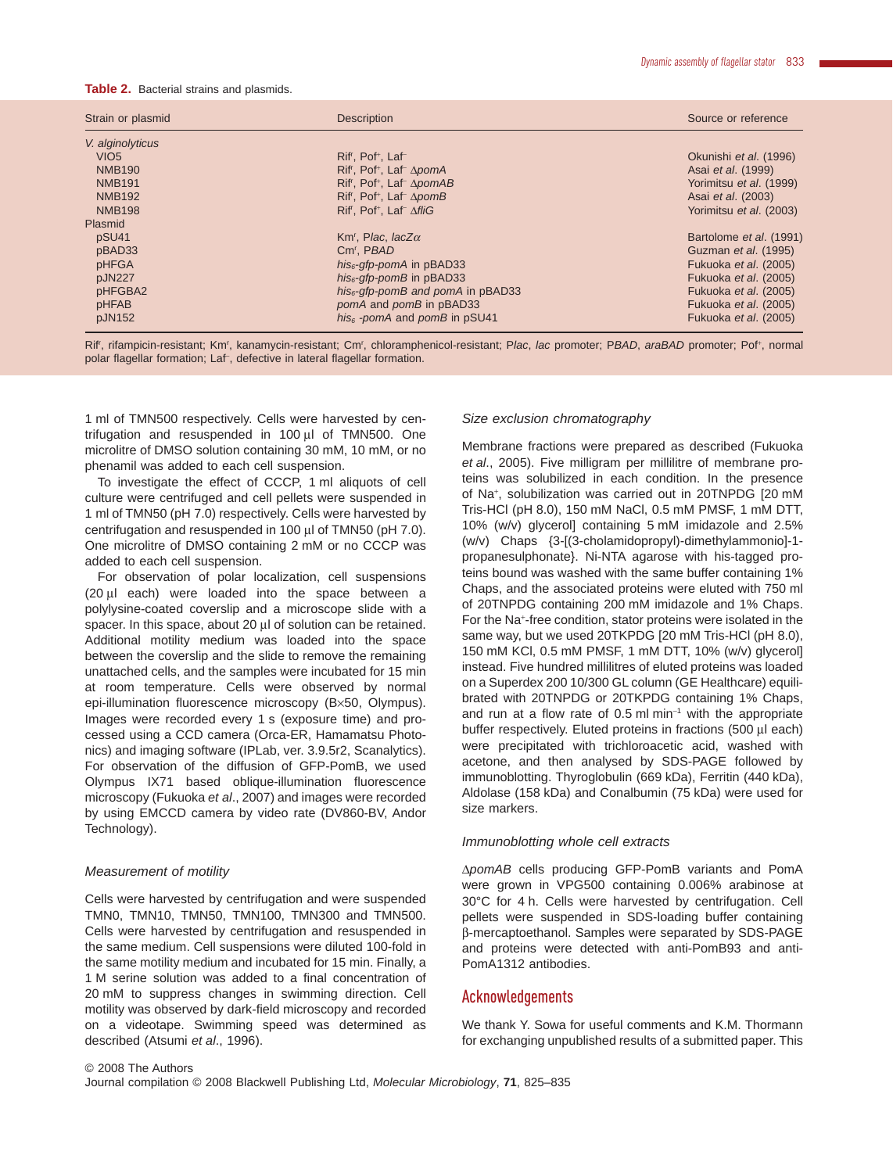#### **Table 2.** Bacterial strains and plasmids.

| Strain or plasmid | <b>Description</b>                                                              | Source or reference           |
|-------------------|---------------------------------------------------------------------------------|-------------------------------|
| V. alginolyticus  |                                                                                 |                               |
| VIO <sub>5</sub>  | Rif <sup>'</sup> , Pof <sup>+</sup> , Laf <sup>-</sup>                          | Okunishi <i>et al.</i> (1996) |
| <b>NMB190</b>     | Rif', Pof <sup>+</sup> , Laf <sup>-</sup> $\Delta$ <i>pomA</i>                  | Asai et al. (1999)            |
| <b>NMB191</b>     | Rif', Pof <sup>+</sup> , Laf <sup>-</sup> $\Delta$ <i>pomAB</i>                 | Yorimitsu et al. (1999)       |
| <b>NMB192</b>     | Rif', Pof <sup>+</sup> , Laf <sup>-</sup> $\triangle pomB$                      | Asai et al. (2003)            |
| <b>NMB198</b>     | Rif <sup>r</sup> . Pof <sup>+</sup> . Laf <sup><math>\triangle</math>fliG</sup> | Yorimitsu et al. (2003)       |
| Plasmid           |                                                                                 |                               |
| pSU41             | Km', Plac, $lacZ\alpha$                                                         | Bartolome et al. (1991)       |
| pBAD33            | Cm <sup>r</sup> . PBAD                                                          | Guzman et al. (1995)          |
| pHFGA             | $his6 -qfp-pomA$ in $pBAD33$                                                    | Fukuoka et al. (2005)         |
| pJN227            | $his6$ -qfp-pomB in pBAD33                                                      | Fukuoka et al. (2005)         |
| pHFGBA2           | $his6$ -gfp-pomB and pomA in pBAD33                                             | Fukuoka et al. (2005)         |
| pHFAB             | pomA and pomB in pBAD33                                                         | Fukuoka et al. (2005)         |
| pJN152            | $his6$ -pomA and pomB in pSU41                                                  | Fukuoka et al. (2005)         |

Rif', rifampicin-resistant; Km', kanamycin-resistant; Cm', chloramphenicol-resistant; P*lac, lac* promoter; P*BAD*, araBAD promoter; Pof+, normal polar flagellar formation; Laf- , defective in lateral flagellar formation.

1 ml of TMN500 respectively. Cells were harvested by centrifugation and resuspended in 100 µl of TMN500. One microlitre of DMSO solution containing 30 mM, 10 mM, or no phenamil was added to each cell suspension.

To investigate the effect of CCCP, 1 ml aliquots of cell culture were centrifuged and cell pellets were suspended in 1 ml of TMN50 (pH 7.0) respectively. Cells were harvested by centrifugation and resuspended in 100 µl of TMN50 (pH 7.0). One microlitre of DMSO containing 2 mM or no CCCP was added to each cell suspension.

For observation of polar localization, cell suspensions  $(20 \mu l$  each) were loaded into the space between a polylysine-coated coverslip and a microscope slide with a spacer. In this space, about 20  $\mu$ l of solution can be retained. Additional motility medium was loaded into the space between the coverslip and the slide to remove the remaining unattached cells, and the samples were incubated for 15 min at room temperature. Cells were observed by normal epi-illumination fluorescence microscopy (B×50, Olympus). Images were recorded every 1 s (exposure time) and processed using a CCD camera (Orca-ER, Hamamatsu Photonics) and imaging software (IPLab, ver. 3.9.5r2, Scanalytics). For observation of the diffusion of GFP-PomB, we used Olympus IX71 based oblique-illumination fluorescence microscopy (Fukuoka *et al*., 2007) and images were recorded by using EMCCD camera by video rate (DV860-BV, Andor Technology).

#### *Measurement of motility*

Cells were harvested by centrifugation and were suspended TMN0, TMN10, TMN50, TMN100, TMN300 and TMN500. Cells were harvested by centrifugation and resuspended in the same medium. Cell suspensions were diluted 100-fold in the same motility medium and incubated for 15 min. Finally, a 1 M serine solution was added to a final concentration of 20 mM to suppress changes in swimming direction. Cell motility was observed by dark-field microscopy and recorded on a videotape. Swimming speed was determined as described (Atsumi *et al*., 1996).

#### *Size exclusion chromatography*

Membrane fractions were prepared as described (Fukuoka *et al*., 2005). Five milligram per millilitre of membrane proteins was solubilized in each condition. In the presence of Na<sup>+</sup> , solubilization was carried out in 20TNPDG [20 mM Tris-HCl (pH 8.0), 150 mM NaCl, 0.5 mM PMSF, 1 mM DTT, 10% (w/v) glycerol] containing 5 mM imidazole and 2.5% (w/v) Chaps {3-[(3-cholamidopropyl)-dimethylammonio]-1 propanesulphonate}. Ni-NTA agarose with his-tagged proteins bound was washed with the same buffer containing 1% Chaps, and the associated proteins were eluted with 750 ml of 20TNPDG containing 200 mM imidazole and 1% Chaps. For the Na<sup>+</sup> -free condition, stator proteins were isolated in the same way, but we used 20TKPDG [20 mM Tris-HCl (pH 8.0), 150 mM KCl, 0.5 mM PMSF, 1 mM DTT, 10% (w/v) glycerol] instead. Five hundred millilitres of eluted proteins was loaded on a Superdex 200 10/300 GL column (GE Healthcare) equilibrated with 20TNPDG or 20TKPDG containing 1% Chaps, and run at a flow rate of  $0.5$  ml min<sup>-1</sup> with the appropriate buffer respectively. Eluted proteins in fractions  $(500 \mu l \text{ each})$ were precipitated with trichloroacetic acid, washed with acetone, and then analysed by SDS-PAGE followed by immunoblotting. Thyroglobulin (669 kDa), Ferritin (440 kDa), Aldolase (158 kDa) and Conalbumin (75 kDa) were used for size markers.

#### *Immunoblotting whole cell extracts*

ApomAB cells producing GFP-PomB variants and PomA were grown in VPG500 containing 0.006% arabinose at 30°C for 4 h. Cells were harvested by centrifugation. Cell pellets were suspended in SDS-loading buffer containing b-mercaptoethanol. Samples were separated by SDS-PAGE and proteins were detected with anti-PomB93 and anti-PomA1312 antibodies.

#### Acknowledgements

We thank Y. Sowa for useful comments and K.M. Thormann for exchanging unpublished results of a submitted paper. This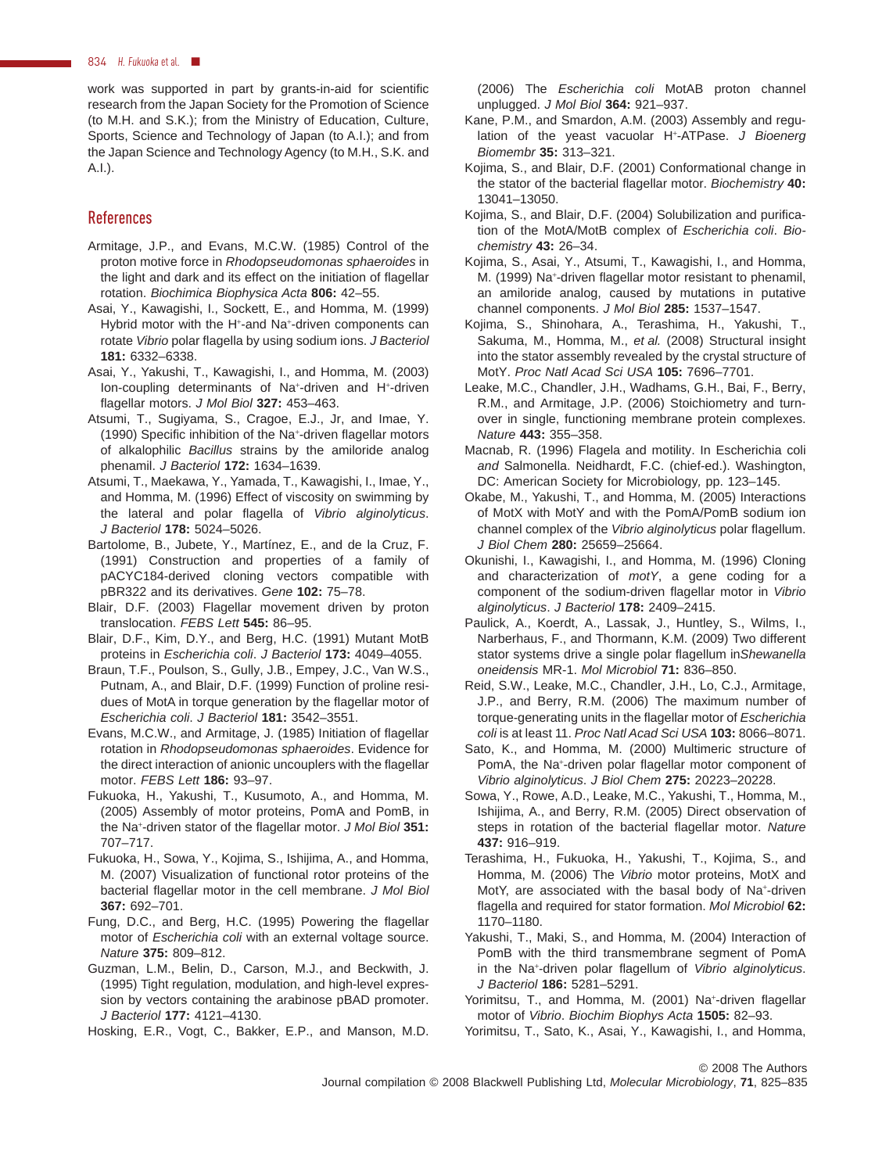work was supported in part by grants-in-aid for scientific research from the Japan Society for the Promotion of Science (to M.H. and S.K.); from the Ministry of Education, Culture, Sports, Science and Technology of Japan (to A.I.); and from the Japan Science and Technology Agency (to M.H., S.K. and A.I.).

# References

- Armitage, J.P., and Evans, M.C.W. (1985) Control of the proton motive force in *Rhodopseudomonas sphaeroides* in the light and dark and its effect on the initiation of flagellar rotation. *Biochimica Biophysica Acta* **806:** 42–55.
- Asai, Y., Kawagishi, I., Sockett, E., and Homma, M. (1999) Hybrid motor with the H<sup>+</sup>-and Na<sup>+</sup>-driven components can rotate *Vibrio* polar flagella by using sodium ions. *J Bacteriol* **181:** 6332–6338.
- Asai, Y., Yakushi, T., Kawagishi, I., and Homma, M. (2003) lon-coupling determinants of Na<sup>+</sup>-driven and H<sup>+</sup>-driven flagellar motors. *J Mol Biol* **327:** 453–463.
- Atsumi, T., Sugiyama, S., Cragoe, E.J., Jr, and Imae, Y. (1990) Specific inhibition of the Na<sup>+</sup> -driven flagellar motors of alkalophilic *Bacillus* strains by the amiloride analog phenamil. *J Bacteriol* **172:** 1634–1639.
- Atsumi, T., Maekawa, Y., Yamada, T., Kawagishi, I., Imae, Y., and Homma, M. (1996) Effect of viscosity on swimming by the lateral and polar flagella of *Vibrio alginolyticus*. *J Bacteriol* **178:** 5024–5026.
- Bartolome, B., Jubete, Y., Martínez, E., and de la Cruz, F. (1991) Construction and properties of a family of pACYC184-derived cloning vectors compatible with pBR322 and its derivatives. *Gene* **102:** 75–78.
- Blair, D.F. (2003) Flagellar movement driven by proton translocation. *FEBS Lett* **545:** 86–95.
- Blair, D.F., Kim, D.Y., and Berg, H.C. (1991) Mutant MotB proteins in *Escherichia coli*. *J Bacteriol* **173:** 4049–4055.
- Braun, T.F., Poulson, S., Gully, J.B., Empey, J.C., Van W.S., Putnam, A., and Blair, D.F. (1999) Function of proline residues of MotA in torque generation by the flagellar motor of *Escherichia coli*. *J Bacteriol* **181:** 3542–3551.
- Evans, M.C.W., and Armitage, J. (1985) Initiation of flagellar rotation in *Rhodopseudomonas sphaeroides*. Evidence for the direct interaction of anionic uncouplers with the flagellar motor. *FEBS Lett* **186:** 93–97.
- Fukuoka, H., Yakushi, T., Kusumoto, A., and Homma, M. (2005) Assembly of motor proteins, PomA and PomB, in the Na<sup>+</sup> -driven stator of the flagellar motor. *J Mol Biol* **351:** 707–717.
- Fukuoka, H., Sowa, Y., Kojima, S., Ishijima, A., and Homma, M. (2007) Visualization of functional rotor proteins of the bacterial flagellar motor in the cell membrane. *J Mol Biol* **367:** 692–701.
- Fung, D.C., and Berg, H.C. (1995) Powering the flagellar motor of *Escherichia coli* with an external voltage source. *Nature* **375:** 809–812.
- Guzman, L.M., Belin, D., Carson, M.J., and Beckwith, J. (1995) Tight regulation, modulation, and high-level expression by vectors containing the arabinose pBAD promoter. *J Bacteriol* **177:** 4121–4130.
- Hosking, E.R., Vogt, C., Bakker, E.P., and Manson, M.D.

(2006) The *Escherichia coli* MotAB proton channel unplugged. *J Mol Biol* **364:** 921–937.

- Kane, P.M., and Smardon, A.M. (2003) Assembly and regulation of the yeast vacuolar H<sup>+</sup> -ATPase. *J Bioenerg Biomembr* **35:** 313–321.
- Kojima, S., and Blair, D.F. (2001) Conformational change in the stator of the bacterial flagellar motor. *Biochemistry* **40:** 13041–13050.
- Kojima, S., and Blair, D.F. (2004) Solubilization and purification of the MotA/MotB complex of *Escherichia coli*. *Biochemistry* **43:** 26–34.
- Kojima, S., Asai, Y., Atsumi, T., Kawagishi, I., and Homma, M. (1999) Na<sup>+</sup>-driven flagellar motor resistant to phenamil, an amiloride analog, caused by mutations in putative channel components. *J Mol Biol* **285:** 1537–1547.
- Kojima, S., Shinohara, A., Terashima, H., Yakushi, T., Sakuma, M., Homma, M., *et al.* (2008) Structural insight into the stator assembly revealed by the crystal structure of MotY. *Proc Natl Acad Sci USA* **105:** 7696–7701.
- Leake, M.C., Chandler, J.H., Wadhams, G.H., Bai, F., Berry, R.M., and Armitage, J.P. (2006) Stoichiometry and turnover in single, functioning membrane protein complexes. *Nature* **443:** 355–358.
- Macnab, R. (1996) Flagela and motility. In Escherichia coli *and* Salmonella. Neidhardt, F.C. (chief-ed.). Washington, DC: American Society for Microbiology*,* pp. 123–145.
- Okabe, M., Yakushi, T., and Homma, M. (2005) Interactions of MotX with MotY and with the PomA/PomB sodium ion channel complex of the *Vibrio alginolyticus* polar flagellum. *J Biol Chem* **280:** 25659–25664.
- Okunishi, I., Kawagishi, I., and Homma, M. (1996) Cloning and characterization of *motY*, a gene coding for a component of the sodium-driven flagellar motor in *Vibrio alginolyticus*. *J Bacteriol* **178:** 2409–2415.
- Paulick, A., Koerdt, A., Lassak, J., Huntley, S., Wilms, I., Narberhaus, F., and Thormann, K.M. (2009) Two different stator systems drive a single polar flagellum in*Shewanella oneidensis* MR-1. *Mol Microbiol* **71:** 836–850.
- Reid, S.W., Leake, M.C., Chandler, J.H., Lo, C.J., Armitage, J.P., and Berry, R.M. (2006) The maximum number of torque-generating units in the flagellar motor of *Escherichia coli* is at least 11. *Proc Natl Acad Sci USA* **103:** 8066–8071.
- Sato, K., and Homma, M. (2000) Multimeric structure of PomA, the Na<sup>+</sup>-driven polar flagellar motor component of *Vibrio alginolyticus*. *J Biol Chem* **275:** 20223–20228.
- Sowa, Y., Rowe, A.D., Leake, M.C., Yakushi, T., Homma, M., Ishijima, A., and Berry, R.M. (2005) Direct observation of steps in rotation of the bacterial flagellar motor. *Nature* **437:** 916–919.
- Terashima, H., Fukuoka, H., Yakushi, T., Kojima, S., and Homma, M. (2006) The *Vibrio* motor proteins, MotX and MotY, are associated with the basal body of Na<sup>+</sup>-driven flagella and required for stator formation. *Mol Microbiol* **62:** 1170–1180.
- Yakushi, T., Maki, S., and Homma, M. (2004) Interaction of PomB with the third transmembrane segment of PomA in the Na<sup>+</sup> -driven polar flagellum of *Vibrio alginolyticus*. *J Bacteriol* **186:** 5281–5291.
- Yorimitsu, T., and Homma, M. (2001) Na<sup>+</sup>-driven flagellar motor of *Vibrio*. *Biochim Biophys Acta* **1505:** 82–93.
- Yorimitsu, T., Sato, K., Asai, Y., Kawagishi, I., and Homma,

© 2008 The Authors